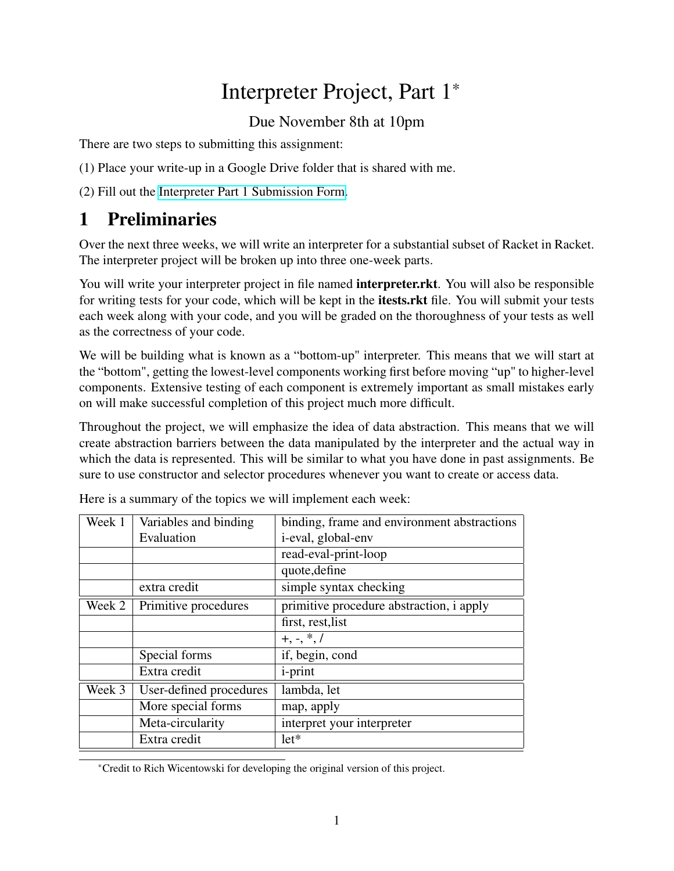# Interpreter Project, Part 1\*

Due November 8th at 10pm

There are two steps to submitting this assignment:

(1) Place your write-up in a Google Drive folder that is shared with me.

(2) Fill out the [Interpreter Part 1 Submission Form.](https://forms.gle/sRPe4f1of7i8HqMm9)

## 1 Preliminaries

Over the next three weeks, we will write an interpreter for a substantial subset of Racket in Racket. The interpreter project will be broken up into three one-week parts.

You will write your interpreter project in file named **interpreter.rkt**. You will also be responsible for writing tests for your code, which will be kept in the itests.rkt file. You will submit your tests each week along with your code, and you will be graded on the thoroughness of your tests as well as the correctness of your code.

We will be building what is known as a "bottom-up" interpreter. This means that we will start at the "bottom", getting the lowest-level components working first before moving "up" to higher-level components. Extensive testing of each component is extremely important as small mistakes early on will make successful completion of this project much more difficult.

Throughout the project, we will emphasize the idea of data abstraction. This means that we will create abstraction barriers between the data manipulated by the interpreter and the actual way in which the data is represented. This will be similar to what you have done in past assignments. Be sure to use constructor and selector procedures whenever you want to create or access data.

| Week 1 | Variables and binding   | binding, frame and environment abstractions |
|--------|-------------------------|---------------------------------------------|
|        | Evaluation              | <i>i</i> -eval, global-env                  |
|        |                         | read-eval-print-loop                        |
|        |                         | quote, define                               |
|        | extra credit            | simple syntax checking                      |
| Week 2 | Primitive procedures    | primitive procedure abstraction, i apply    |
|        |                         | first, rest, list                           |
|        |                         | $+, -, *, /$                                |
|        | Special forms           | if, begin, cond                             |
|        | Extra credit            | <i>i</i> -print                             |
| Week 3 | User-defined procedures | lambda, let                                 |
|        | More special forms      | map, apply                                  |
|        | Meta-circularity        | interpret your interpreter                  |
|        | Extra credit            | $let*$                                      |

Here is a summary of the topics we will implement each week:

\*Credit to Rich Wicentowski for developing the original version of this project.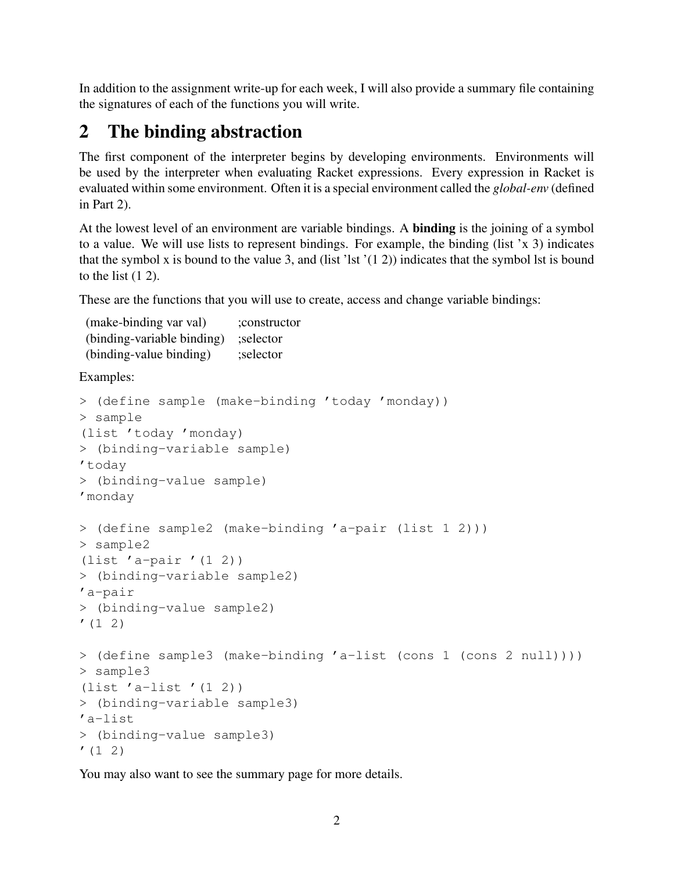In addition to the assignment write-up for each week, I will also provide a summary file containing the signatures of each of the functions you will write.

## 2 The binding abstraction

The first component of the interpreter begins by developing environments. Environments will be used by the interpreter when evaluating Racket expressions. Every expression in Racket is evaluated within some environment. Often it is a special environment called the *global-env* (defined in Part 2).

At the lowest level of an environment are variable bindings. A binding is the joining of a symbol to a value. We will use lists to represent bindings. For example, the binding (list 'x 3) indicates that the symbol x is bound to the value 3, and (list 'lst  $'(1\ 2)$ ) indicates that the symbol lst is bound to the list  $(1 2)$ .

These are the functions that you will use to create, access and change variable bindings:

| (make-binding var val)     | ;constructor |
|----------------------------|--------------|
| (binding-variable binding) | ; selector   |
| (binding-value binding)    | ;selector    |

Examples:

```
> (define sample (make-binding 'today 'monday))
> sample
(list 'today 'monday)
> (binding-variable sample)
'today
> (binding-value sample)
'monday
> (define sample2 (make-binding 'a-pair (list 1 2)))
> sample2
(list 'a-pair '(1 2))
> (binding-variable sample2)
'a-pair
> (binding-value sample2)
(1 2)> (define sample3 (make-binding 'a-list (cons 1 (cons 2 null))))
> sample3
(list 'a-list '(1 2))
> (binding-variable sample3)
'a-list
> (binding-value sample3)
(1 2)
```
You may also want to see the summary page for more details.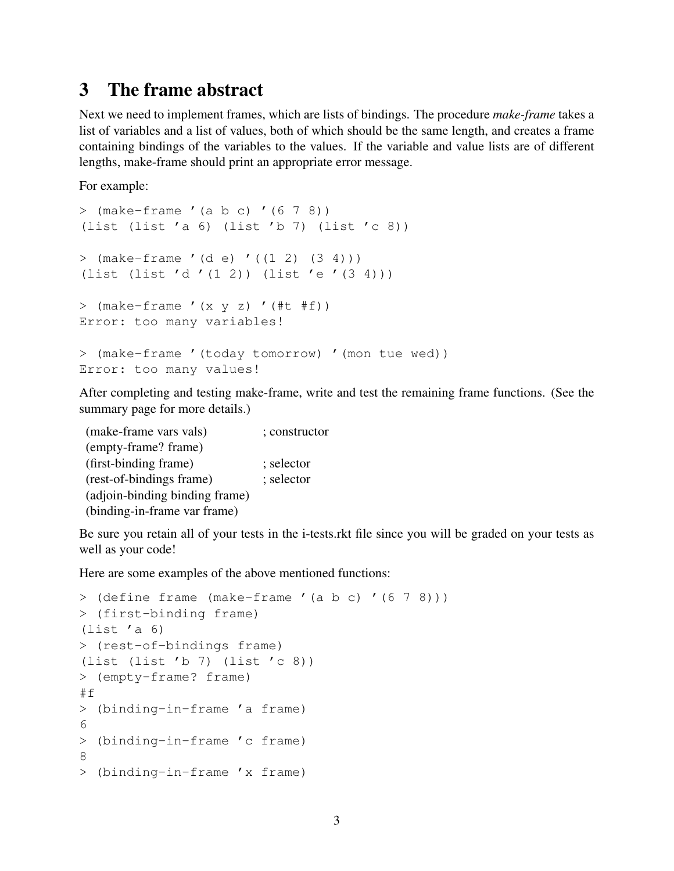#### 3 The frame abstract

Next we need to implement frames, which are lists of bindings. The procedure *make-frame* takes a list of variables and a list of values, both of which should be the same length, and creates a frame containing bindings of the variables to the values. If the variable and value lists are of different lengths, make-frame should print an appropriate error message.

For example:

```
> (make-frame '(a b c) '(6 7 8))
(list (list 'a 6) (list 'b 7) (list 'c 8))
> (make-frame '(d e) '((1 2) (3 4)))
(list (list 'd '(1 2)) (list 'e '(3 4)))
> (make-frame ' (x y z) ' (#t #f))Error: too many variables!
> (make-frame '(today tomorrow) '(mon tue wed))
Error: too many values!
```
After completing and testing make-frame, write and test the remaining frame functions. (See the summary page for more details.)

| (make-frame vars vals)         | ; constructor |
|--------------------------------|---------------|
| (empty-frame? frame)           |               |
| (first-binding frame)          | ; selector    |
| (rest-of-bindings frame)       | ; selector    |
| (adjoin-binding binding frame) |               |
| (binding-in-frame var frame)   |               |

Be sure you retain all of your tests in the i-tests.rkt file since you will be graded on your tests as well as your code!

Here are some examples of the above mentioned functions:

```
> (define frame (make-frame '(a b c) '(6 7 8)))
> (first-binding frame)
(list 'a 6)
> (rest-of-bindings frame)
(list (list 'b 7) (list 'c 8))
> (empty-frame? frame)
#f
> (binding-in-frame 'a frame)
6
> (binding-in-frame 'c frame)
8
> (binding-in-frame 'x frame)
```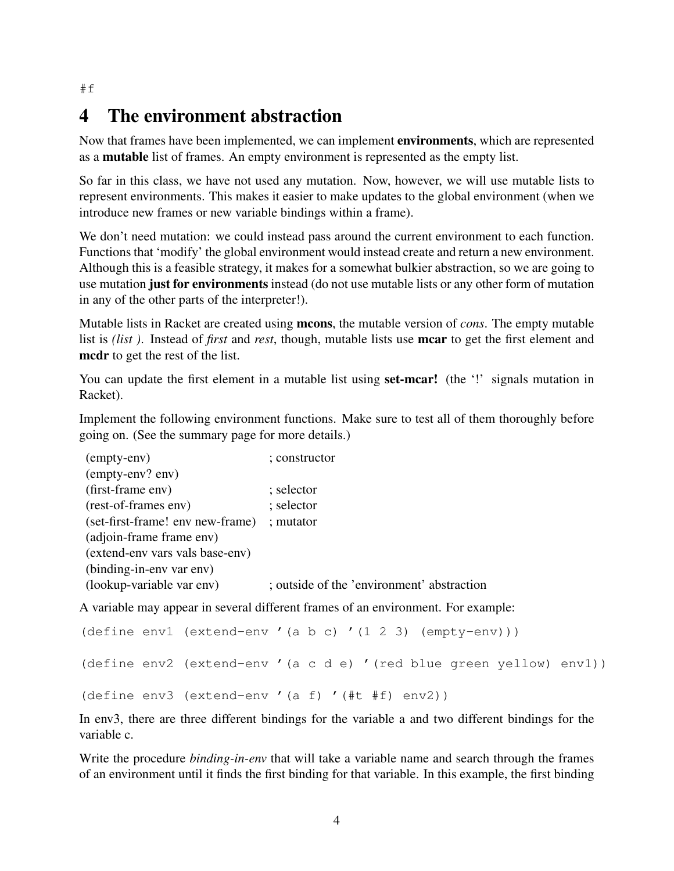### 4 The environment abstraction

Now that frames have been implemented, we can implement environments, which are represented as a mutable list of frames. An empty environment is represented as the empty list.

So far in this class, we have not used any mutation. Now, however, we will use mutable lists to represent environments. This makes it easier to make updates to the global environment (when we introduce new frames or new variable bindings within a frame).

We don't need mutation: we could instead pass around the current environment to each function. Functions that 'modify' the global environment would instead create and return a new environment. Although this is a feasible strategy, it makes for a somewhat bulkier abstraction, so we are going to use mutation just for environments instead (do not use mutable lists or any other form of mutation in any of the other parts of the interpreter!).

Mutable lists in Racket are created using mcons, the mutable version of *cons*. The empty mutable list is *(list )*. Instead of *first* and *rest*, though, mutable lists use mcar to get the first element and mcdr to get the rest of the list.

You can update the first element in a mutable list using **set-mear!** (the '!' signals mutation in Racket).

Implement the following environment functions. Make sure to test all of them thoroughly before going on. (See the summary page for more details.)

| (empty-env)                      | ; constructor                              |  |
|----------------------------------|--------------------------------------------|--|
| (empty-env? env)                 |                                            |  |
| (first-frame env)                | ; selector                                 |  |
| (rest-of-frames env)             | ; selector                                 |  |
| (set-first-frame! env new-frame) | ; mutator                                  |  |
| (adjoin-frame frame env)         |                                            |  |
| (extend-env vars vals base-env)  |                                            |  |
| (binding-in-env var env)         |                                            |  |
| (lookup-variable var env)        | ; outside of the 'environment' abstraction |  |

A variable may appear in several different frames of an environment. For example:

```
(define env1 (extend-env '(a b c) '(1 2 3) (empty-env)))
(define env2 (extend-env '(a c d e) '(red blue green yellow) env1))
(define env3 (extend-env '(a f) '(#t #f) env2))
```
In env3, there are three different bindings for the variable a and two different bindings for the variable c.

Write the procedure *binding-in-env* that will take a variable name and search through the frames of an environment until it finds the first binding for that variable. In this example, the first binding

#f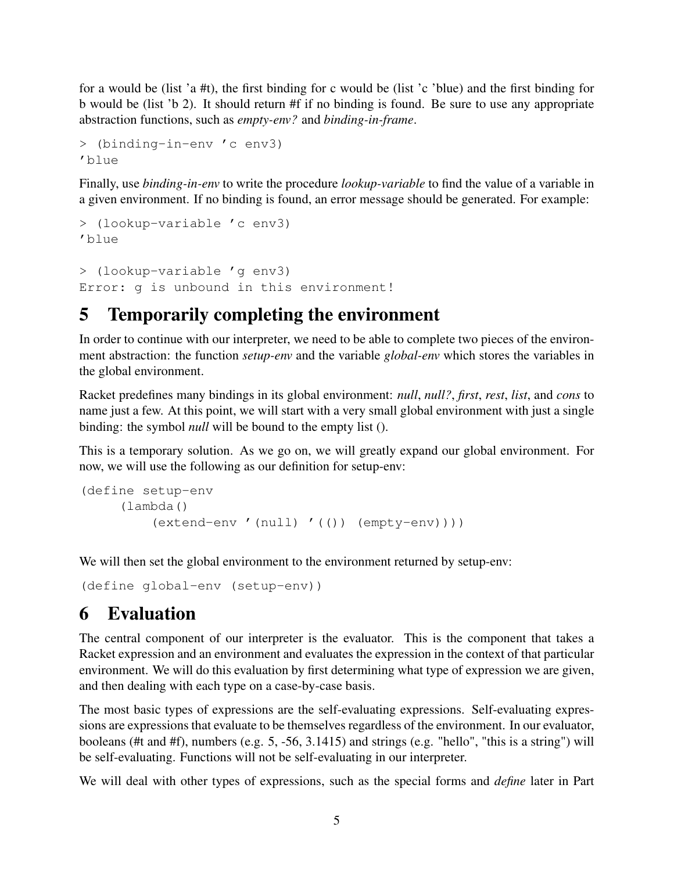for a would be (list 'a #t), the first binding for c would be (list 'c 'blue) and the first binding for b would be (list 'b 2). It should return #f if no binding is found. Be sure to use any appropriate abstraction functions, such as *empty-env?* and *binding-in-frame*.

```
> (binding-in-env 'c env3)
'blue
```
Finally, use *binding-in-env* to write the procedure *lookup-variable* to find the value of a variable in a given environment. If no binding is found, an error message should be generated. For example:

```
> (lookup-variable 'c env3)
'blue
> (lookup-variable 'g env3)
Error: g is unbound in this environment!
```
## 5 Temporarily completing the environment

In order to continue with our interpreter, we need to be able to complete two pieces of the environment abstraction: the function *setup-env* and the variable *global-env* which stores the variables in the global environment.

Racket predefines many bindings in its global environment: *null*, *null?*, *first*, *rest*, *list*, and *cons* to name just a few. At this point, we will start with a very small global environment with just a single binding: the symbol *null* will be bound to the empty list ().

This is a temporary solution. As we go on, we will greatly expand our global environment. For now, we will use the following as our definition for setup-env:

```
(define setup-env
     (lambda()
         (extend-env '(null) '(()) (empty-env))))
```
We will then set the global environment to the environment returned by setup-env:

(define global-env (setup-env))

## 6 Evaluation

The central component of our interpreter is the evaluator. This is the component that takes a Racket expression and an environment and evaluates the expression in the context of that particular environment. We will do this evaluation by first determining what type of expression we are given, and then dealing with each type on a case-by-case basis.

The most basic types of expressions are the self-evaluating expressions. Self-evaluating expressions are expressions that evaluate to be themselves regardless of the environment. In our evaluator, booleans (#t and #f), numbers (e.g. 5, -56, 3.1415) and strings (e.g. "hello", "this is a string") will be self-evaluating. Functions will not be self-evaluating in our interpreter.

We will deal with other types of expressions, such as the special forms and *define* later in Part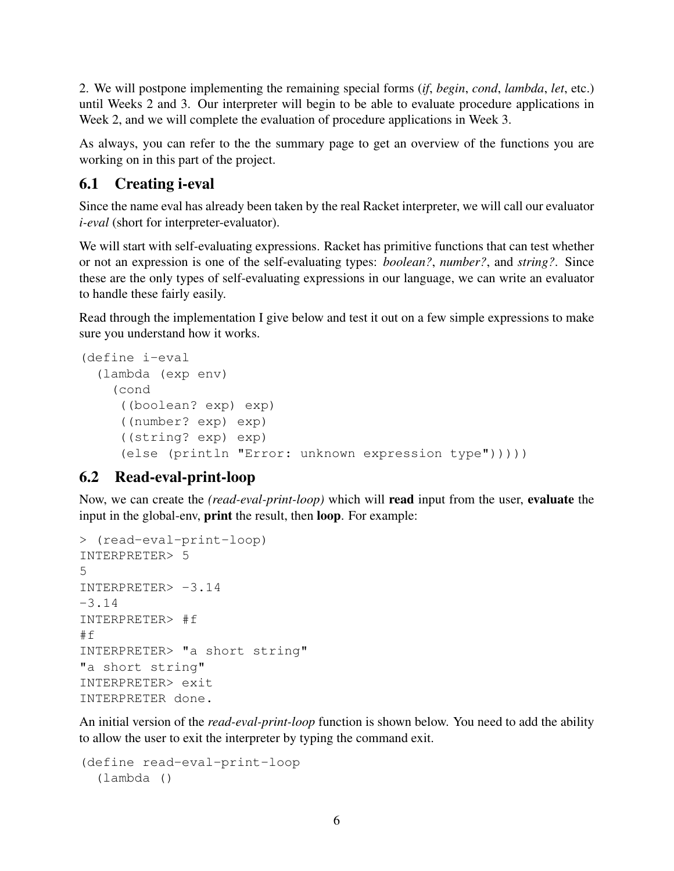2. We will postpone implementing the remaining special forms (*if*, *begin*, *cond*, *lambda*, *let*, etc.) until Weeks 2 and 3. Our interpreter will begin to be able to evaluate procedure applications in Week 2, and we will complete the evaluation of procedure applications in Week 3.

As always, you can refer to the the summary page to get an overview of the functions you are working on in this part of the project.

#### 6.1 Creating i-eval

Since the name eval has already been taken by the real Racket interpreter, we will call our evaluator *i-eval* (short for interpreter-evaluator).

We will start with self-evaluating expressions. Racket has primitive functions that can test whether or not an expression is one of the self-evaluating types: *boolean?*, *number?*, and *string?*. Since these are the only types of self-evaluating expressions in our language, we can write an evaluator to handle these fairly easily.

Read through the implementation I give below and test it out on a few simple expressions to make sure you understand how it works.

```
(define i-eval
  (lambda (exp env)
    (cond
     ((boolean? exp) exp)
     ((number? exp) exp)
     ((string? exp) exp)
     (else (println "Error: unknown expression type")))))
```
#### 6.2 Read-eval-print-loop

Now, we can create the *(read-eval-print-loop)* which will read input from the user, evaluate the input in the global-env, print the result, then loop. For example:

```
> (read-eval-print-loop)
INTERPRETER> 5
5
INTERPRETER> -3.14
-3.14
INTERPRETER> #f
#f
INTERPRETER> "a short string"
"a short string"
INTERPRETER> exit
INTERPRETER done.
```
An initial version of the *read-eval-print-loop* function is shown below. You need to add the ability to allow the user to exit the interpreter by typing the command exit.

```
(define read-eval-print-loop
  (lambda ()
```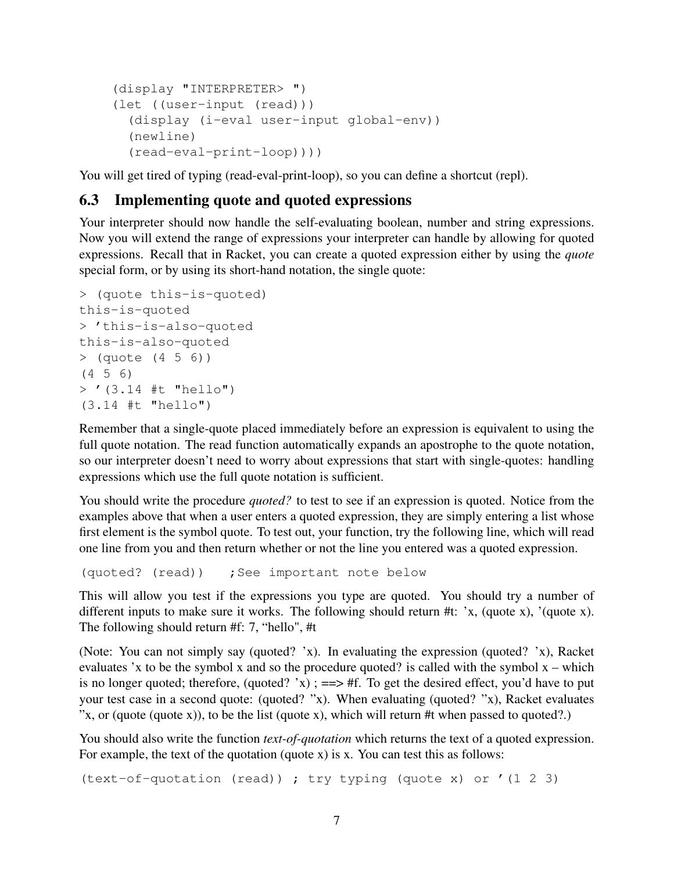```
(display "INTERPRETER> ")
(let ((user-input (read)))
  (display (i-eval user-input global-env))
  (newline)
  (read-eval-print-loop))))
```
You will get tired of typing (read-eval-print-loop), so you can define a shortcut (repl).

#### 6.3 Implementing quote and quoted expressions

Your interpreter should now handle the self-evaluating boolean, number and string expressions. Now you will extend the range of expressions your interpreter can handle by allowing for quoted expressions. Recall that in Racket, you can create a quoted expression either by using the *quote* special form, or by using its short-hand notation, the single quote:

```
> (quote this-is-quoted)
this-is-quoted
> 'this-is-also-quoted
this-is-also-quoted
> (quote (4 5 6))
(4 5 6)
> '(3.14 #t "hello")
(3.14 #t "hello")
```
Remember that a single-quote placed immediately before an expression is equivalent to using the full quote notation. The read function automatically expands an apostrophe to the quote notation, so our interpreter doesn't need to worry about expressions that start with single-quotes: handling expressions which use the full quote notation is sufficient.

You should write the procedure *quoted?* to test to see if an expression is quoted. Notice from the examples above that when a user enters a quoted expression, they are simply entering a list whose first element is the symbol quote. To test out, your function, try the following line, which will read one line from you and then return whether or not the line you entered was a quoted expression.

```
(quoted? (read)) ; See important note below
```
This will allow you test if the expressions you type are quoted. You should try a number of different inputs to make sure it works. The following should return #t: 'x, (quote x), '(quote x). The following should return #f: 7, "hello", #t

(Note: You can not simply say (quoted? 'x). In evaluating the expression (quoted? 'x), Racket evaluates 'x to be the symbol x and so the procedure quoted? is called with the symbol  $x -$  which is no longer quoted; therefore, (quoted?  $x$ ); ==> #f. To get the desired effect, you'd have to put your test case in a second quote: (quoted? "x). When evaluating (quoted? "x), Racket evaluates "x, or (quote (quote x)), to be the list (quote x), which will return #t when passed to quoted?.)

You should also write the function *text-of-quotation* which returns the text of a quoted expression. For example, the text of the quotation (quote x) is x. You can test this as follows:

(text-of-quotation (read)) ; try typing (quote x) or '(1 2 3)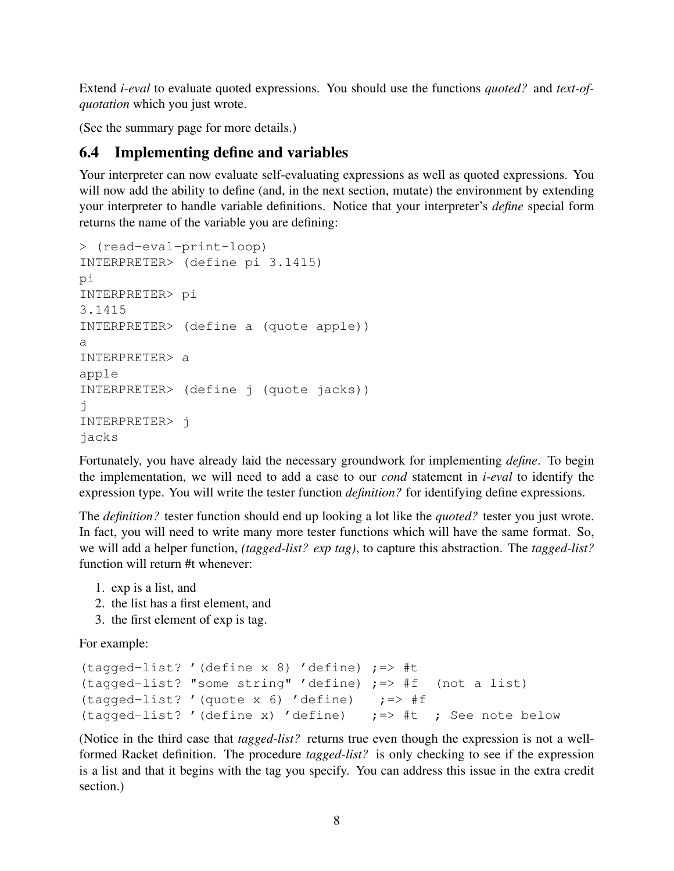Extend *i-eval* to evaluate quoted expressions. You should use the functions *quoted?* and *text-ofquotation* which you just wrote.

(See the summary page for more details.)

#### 6.4 Implementing define and variables

Your interpreter can now evaluate self-evaluating expressions as well as quoted expressions. You will now add the ability to define (and, in the next section, mutate) the environment by extending your interpreter to handle variable definitions. Notice that your interpreter's *define* special form returns the name of the variable you are defining:

```
> (read-eval-print-loop)
INTERPRETER> (define pi 3.1415)
pi
INTERPRETER> pi
3.1415
INTERPRETER> (define a (quote apple))
a
INTERPRETER> a
apple
INTERPRETER> (define j (quote jacks))
j
INTERPRETER> j
jacks
```
Fortunately, you have already laid the necessary groundwork for implementing *define*. To begin the implementation, we will need to add a case to our *cond* statement in *i-eval* to identify the expression type. You will write the tester function *definition?* for identifying define expressions.

The *definition?* tester function should end up looking a lot like the *quoted?* tester you just wrote. In fact, you will need to write many more tester functions which will have the same format. So, we will add a helper function, *(tagged-list? exp tag)*, to capture this abstraction. The *tagged-list?* function will return #t whenever:

- 1. exp is a list, and
- 2. the list has a first element, and
- 3. the first element of exp is tag.

For example:

```
(tagged-list? '(define x 8) 'define) ;=> #t
(tagged-list? "some string" 'define) ;=> #f (not a list)
(tagged-list? '(quote x 6) 'define) \qquad \qquad ;=> \#f(tagged-list? '(define x) 'define) \qquad \qquad ; => #t ; See note below
```
(Notice in the third case that *tagged-list?* returns true even though the expression is not a wellformed Racket definition. The procedure *tagged-list?* is only checking to see if the expression is a list and that it begins with the tag you specify. You can address this issue in the extra credit section.)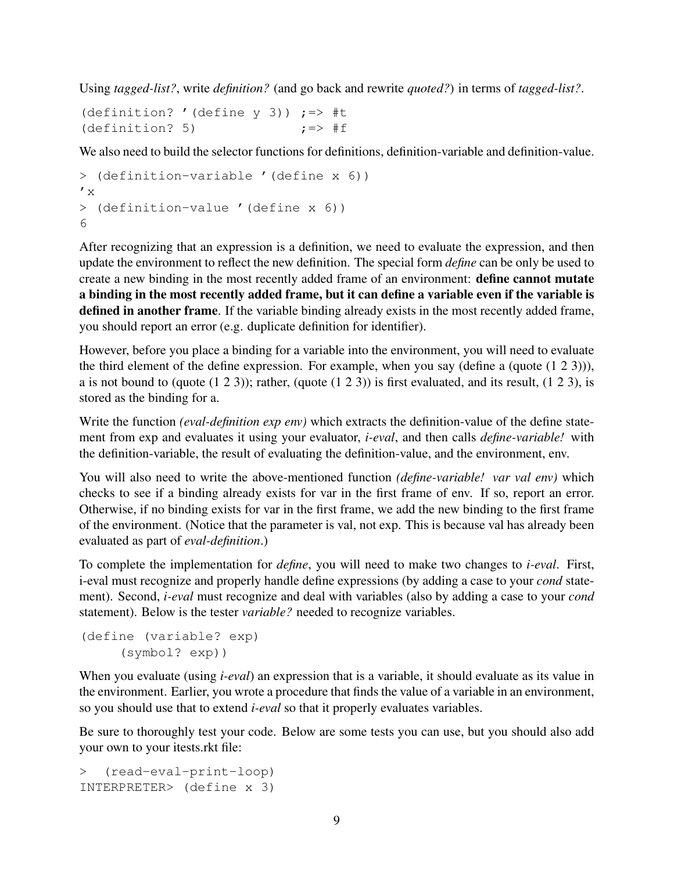Using *tagged-list?*, write *definition?* (and go back and rewrite *quoted?*) in terms of *tagged-list?*.

(definition? '(define  $y$  3))  $:=$  #t (definition? 5)  $\qquad \qquad ;=>$  #f

We also need to build the selector functions for definitions, definition-variable and definition-value.

```
> (definition-variable '(define x 6))
' x
> (definition-value '(define x 6))
6
```
After recognizing that an expression is a definition, we need to evaluate the expression, and then update the environment to reflect the new definition. The special form *define* can be only be used to create a new binding in the most recently added frame of an environment: define cannot mutate a binding in the most recently added frame, but it can define a variable even if the variable is defined in another frame. If the variable binding already exists in the most recently added frame, you should report an error (e.g. duplicate definition for identifier).

However, before you place a binding for a variable into the environment, you will need to evaluate the third element of the define expression. For example, when you say (define a (quote (1 2 3))), a is not bound to (quote  $(1\ 2\ 3)$ ); rather, (quote  $(1\ 2\ 3)$ ) is first evaluated, and its result,  $(1\ 2\ 3)$ , is stored as the binding for a.

Write the function *(eval-definition exp env)* which extracts the definition-value of the define statement from exp and evaluates it using your evaluator, *i-eval*, and then calls *define-variable!* with the definition-variable, the result of evaluating the definition-value, and the environment, env.

You will also need to write the above-mentioned function *(define-variable! var val env)* which checks to see if a binding already exists for var in the first frame of env. If so, report an error. Otherwise, if no binding exists for var in the first frame, we add the new binding to the first frame of the environment. (Notice that the parameter is val, not exp. This is because val has already been evaluated as part of *eval-definition*.)

To complete the implementation for *define*, you will need to make two changes to *i-eval*. First, i-eval must recognize and properly handle define expressions (by adding a case to your *cond* statement). Second, *i-eval* must recognize and deal with variables (also by adding a case to your *cond* statement). Below is the tester *variable?* needed to recognize variables.

```
(define (variable? exp)
     (symbol? exp))
```
When you evaluate (using *i-eval*) an expression that is a variable, it should evaluate as its value in the environment. Earlier, you wrote a procedure that finds the value of a variable in an environment, so you should use that to extend *i-eval* so that it properly evaluates variables.

Be sure to thoroughly test your code. Below are some tests you can use, but you should also add your own to your itests.rkt file:

```
> (read-eval-print-loop)
INTERPRETER> (define x 3)
```